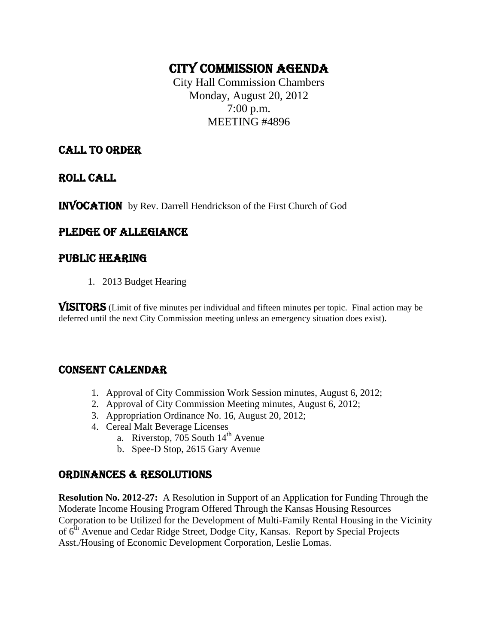## CITY COMMISSION AGENDA

City Hall Commission Chambers Monday, August 20, 2012 7:00 p.m. MEETING #4896

## CALL TO ORDER

ROLL CALL

INVOCATION by Rev. Darrell Hendrickson of the First Church of God

## PLEDGE OF ALLEGIANCE

## PUBLIC HEARING

1. 2013 Budget Hearing

VISITORS (Limit of five minutes per individual and fifteen minutes per topic. Final action may be deferred until the next City Commission meeting unless an emergency situation does exist).

## CONSENT CALENDAR

- 1. Approval of City Commission Work Session minutes, August 6, 2012;
- 2. Approval of City Commission Meeting minutes, August 6, 2012;
- 3. Appropriation Ordinance No. 16, August 20, 2012;
- 4. Cereal Malt Beverage Licenses
	- a. Riverstop,  $705$  South  $14<sup>th</sup>$  Avenue
	- b. Spee-D Stop, 2615 Gary Avenue

## ORDINANCES & RESOLUTIONS

**Resolution No. 2012-27:** A Resolution in Support of an Application for Funding Through the Moderate Income Housing Program Offered Through the Kansas Housing Resources Corporation to be Utilized for the Development of Multi-Family Rental Housing in the Vicinity of 6th Avenue and Cedar Ridge Street, Dodge City, Kansas. Report by Special Projects Asst./Housing of Economic Development Corporation, Leslie Lomas.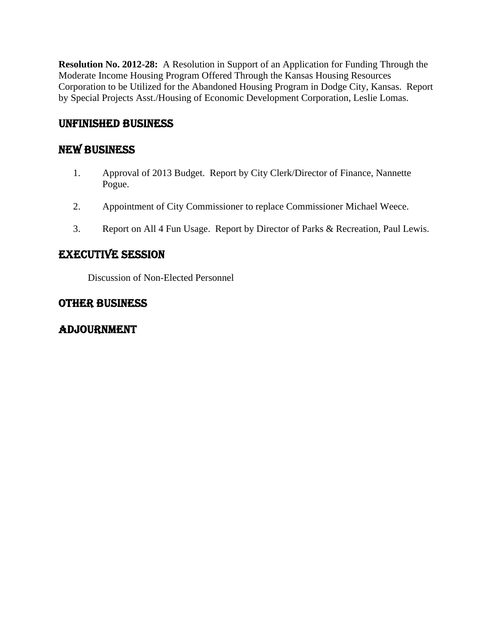**Resolution No. 2012-28:** A Resolution in Support of an Application for Funding Through the Moderate Income Housing Program Offered Through the Kansas Housing Resources Corporation to be Utilized for the Abandoned Housing Program in Dodge City, Kansas. Report by Special Projects Asst./Housing of Economic Development Corporation, Leslie Lomas.

## UNFINISHED BUSINESS

## NEW BUSINESS

- 1. Approval of 2013 Budget. Report by City Clerk/Director of Finance, Nannette Pogue.
- 2. Appointment of City Commissioner to replace Commissioner Michael Weece.
- 3. Report on All 4 Fun Usage. Report by Director of Parks & Recreation, Paul Lewis.

## EXECUTIVE SESSION

Discussion of Non-Elected Personnel

## OTHER BUSINESS

## ADJOURNMENT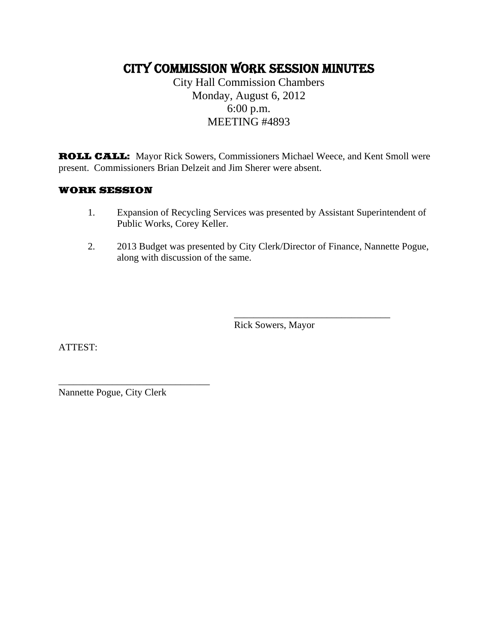## CITY COMMISSION WORK SESSION MINUTES

City Hall Commission Chambers Monday, August 6, 2012 6:00 p.m. MEETING #4893

ROLL CALL: Mayor Rick Sowers, Commissioners Michael Weece, and Kent Smoll were present. Commissioners Brian Delzeit and Jim Sherer were absent.

#### WORK SESSION

- 1. Expansion of Recycling Services was presented by Assistant Superintendent of Public Works, Corey Keller.
- 2. 2013 Budget was presented by City Clerk/Director of Finance, Nannette Pogue, along with discussion of the same.

 $\frac{1}{2}$  , and the contract of the contract of the contract of the contract of the contract of the contract of the contract of the contract of the contract of the contract of the contract of the contract of the contract

Rick Sowers, Mayor

ATTEST:

Nannette Pogue, City Clerk

\_\_\_\_\_\_\_\_\_\_\_\_\_\_\_\_\_\_\_\_\_\_\_\_\_\_\_\_\_\_\_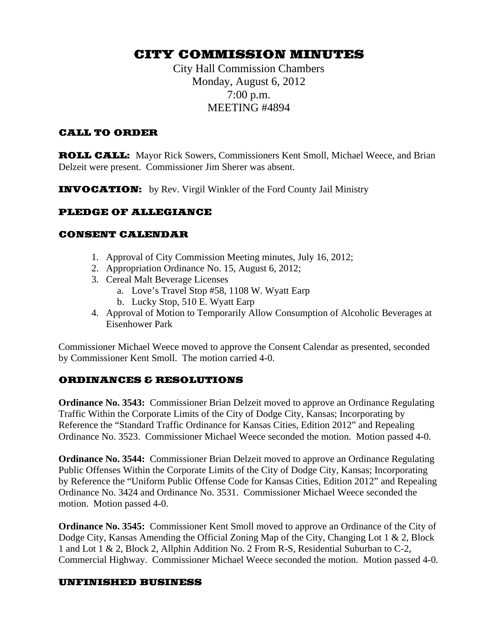## CITY COMMISSION MINUTES

City Hall Commission Chambers Monday, August 6, 2012 7:00 p.m. MEETING #4894

#### CALL TO ORDER

ROLL CALL: Mayor Rick Sowers, Commissioners Kent Smoll, Michael Weece, and Brian Delzeit were present. Commissioner Jim Sherer was absent.

**INVOCATION:** by Rev. Virgil Winkler of the Ford County Jail Ministry

#### PLEDGE OF ALLEGIANCE

#### CONSENT CALENDAR

- 1. Approval of City Commission Meeting minutes, July 16, 2012;
- 2. Appropriation Ordinance No. 15, August 6, 2012;
- 3. Cereal Malt Beverage Licenses
	- a. Love's Travel Stop #58, 1108 W. Wyatt Earp
	- b. Lucky Stop, 510 E. Wyatt Earp
- 4. Approval of Motion to Temporarily Allow Consumption of Alcoholic Beverages at Eisenhower Park

Commissioner Michael Weece moved to approve the Consent Calendar as presented, seconded by Commissioner Kent Smoll. The motion carried 4-0.

#### ORDINANCES & RESOLUTIONS

**Ordinance No. 3543:** Commissioner Brian Delzeit moved to approve an Ordinance Regulating Traffic Within the Corporate Limits of the City of Dodge City, Kansas; Incorporating by Reference the "Standard Traffic Ordinance for Kansas Cities, Edition 2012" and Repealing Ordinance No. 3523. Commissioner Michael Weece seconded the motion. Motion passed 4-0.

**Ordinance No. 3544:** Commissioner Brian Delzeit moved to approve an Ordinance Regulating Public Offenses Within the Corporate Limits of the City of Dodge City, Kansas; Incorporating by Reference the "Uniform Public Offense Code for Kansas Cities, Edition 2012" and Repealing Ordinance No. 3424 and Ordinance No. 3531. Commissioner Michael Weece seconded the motion. Motion passed 4-0.

**Ordinance No. 3545:** Commissioner Kent Smoll moved to approve an Ordinance of the City of Dodge City, Kansas Amending the Official Zoning Map of the City, Changing Lot 1 & 2, Block 1 and Lot 1 & 2, Block 2, Allphin Addition No. 2 From R-S, Residential Suburban to C-2, Commercial Highway. Commissioner Michael Weece seconded the motion. Motion passed 4-0.

#### UNFINISHED BUSINESS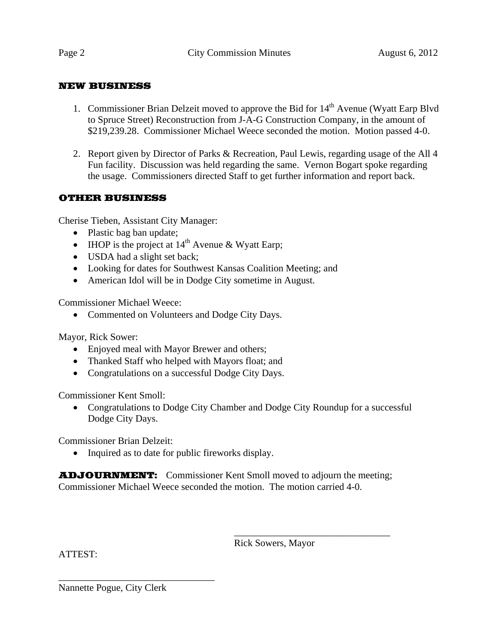#### NEW BUSINESS

- 1. Commissioner Brian Delzeit moved to approve the Bid for  $14<sup>th</sup>$  Avenue (Wyatt Earp Blvd to Spruce Street) Reconstruction from J-A-G Construction Company, in the amount of \$219,239.28. Commissioner Michael Weece seconded the motion. Motion passed 4-0.
- 2. Report given by Director of Parks & Recreation, Paul Lewis, regarding usage of the All 4 Fun facility. Discussion was held regarding the same. Vernon Bogart spoke regarding the usage. Commissioners directed Staff to get further information and report back.

#### OTHER BUSINESS

Cherise Tieben, Assistant City Manager:

- Plastic bag ban update;
- IHOP is the project at  $14<sup>th</sup>$  Avenue & Wyatt Earp;
- USDA had a slight set back;
- Looking for dates for Southwest Kansas Coalition Meeting; and
- American Idol will be in Dodge City sometime in August.

Commissioner Michael Weece:

• Commented on Volunteers and Dodge City Days.

Mayor, Rick Sower:

- Enjoyed meal with Mayor Brewer and others;
- Thanked Staff who helped with Mayors float; and
- Congratulations on a successful Dodge City Days.

Commissioner Kent Smoll:

• Congratulations to Dodge City Chamber and Dodge City Roundup for a successful Dodge City Days.

Commissioner Brian Delzeit:

• Inquired as to date for public fireworks display.

**ADJOURNMENT:** Commissioner Kent Smoll moved to adjourn the meeting; Commissioner Michael Weece seconded the motion. The motion carried 4-0.

 $\frac{1}{2}$  , and the contract of the contract of the contract of the contract of the contract of the contract of the contract of the contract of the contract of the contract of the contract of the contract of the contract

Rick Sowers, Mayor

ATTEST:

Nannette Pogue, City Clerk

\_\_\_\_\_\_\_\_\_\_\_\_\_\_\_\_\_\_\_\_\_\_\_\_\_\_\_\_\_\_\_\_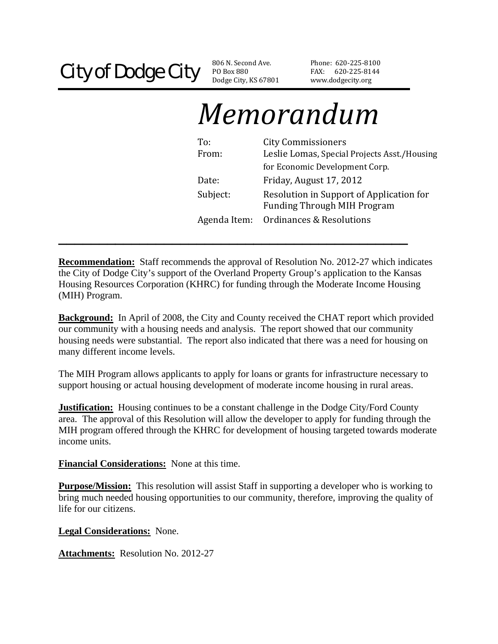PO Box 880 Dodge City, KS 67801

Phone: 620‐225‐81 00 FAX: 620-225-8144 www.dodgecity.org

# *Memorandum*

| To:          | <b>City Commissioners</b>                                                      |
|--------------|--------------------------------------------------------------------------------|
| From:        | Leslie Lomas, Special Projects Asst./Housing                                   |
|              | for Economic Development Corp.                                                 |
| Date:        | Friday, August 17, 2012                                                        |
| Subject:     | Resolution in Support of Application for<br><b>Funding Through MIH Program</b> |
| Agenda Item: | Ordinances & Resolutions                                                       |

**Recommendation:** Staff recommends the approval of Resolution No. 2012-27 which indicates the City of Dodge City's support of the Overland Property Group's application to the Kansas Housing Resources Corporation (KHRC) for funding through the Moderate Income Housing (MIH) Program.

**\_\_\_\_\_\_\_\_\_\_\_\_\_\_\_\_\_\_\_\_\_\_\_\_\_\_\_\_\_\_\_\_\_\_\_\_\_\_\_\_\_\_\_** 

**Background:** In April of 2008, the City and County received the CHAT report which provided our community with a housing needs and analysis. The report showed that our community housing needs were substantial. The report also indicated that there was a need for housing on many different income levels.

The MIH Program allows applicants to apply for loans or grants for infrastructure necessary to support housing or actual housing development of moderate income housing in rural areas.

**Justification:** Housing continues to be a constant challenge in the Dodge City/Ford County area. The approval of this Resolution will allow the developer to apply for funding through the MIH program offered through the KHRC for development of housing targeted towards moderate income units.

**Financial Considerations:** None at this time.

**Purpose/Mission:** This resolution will assist Staff in supporting a developer who is working to bring much needed housing opportunities to our community, therefore, improving the quality of life for our citizens.

**Legal Considerations:** None.

**Attachments:** Resolution No. 2012-27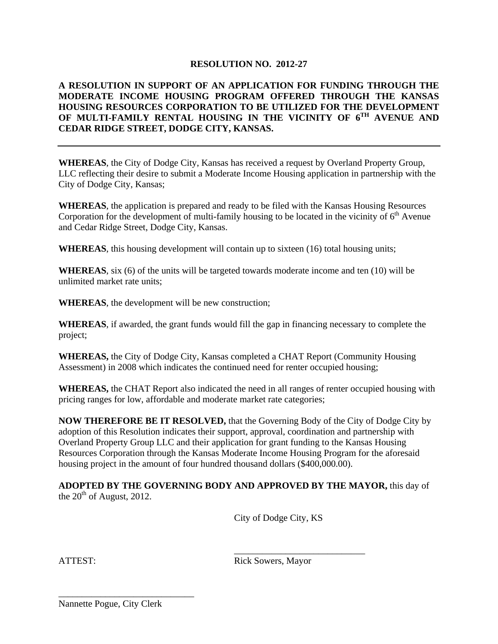#### **RESOLUTION NO. 2012-27**

#### **A RESOLUTION IN SUPPORT OF AN APPLICATION FOR FUNDING THROUGH THE MODERATE INCOME HOUSING PROGRAM OFFERED THROUGH THE KANSAS HOUSING RESOURCES CORPORATION TO BE UTILIZED FOR THE DEVELOPMENT OF MULTI-FAMILY RENTAL HOUSING IN THE VICINITY OF 6TH AVENUE AND CEDAR RIDGE STREET, DODGE CITY, KANSAS.**

**WHEREAS**, the City of Dodge City, Kansas has received a request by Overland Property Group, LLC reflecting their desire to submit a Moderate Income Housing application in partnership with the City of Dodge City, Kansas;

**WHEREAS**, the application is prepared and ready to be filed with the Kansas Housing Resources Corporation for the development of multi-family housing to be located in the vicinity of  $6<sup>th</sup>$  Avenue and Cedar Ridge Street, Dodge City, Kansas.

**WHEREAS**, this housing development will contain up to sixteen (16) total housing units;

**WHEREAS**, six (6) of the units will be targeted towards moderate income and ten (10) will be unlimited market rate units;

**WHEREAS**, the development will be new construction;

**WHEREAS**, if awarded, the grant funds would fill the gap in financing necessary to complete the project;

**WHEREAS,** the City of Dodge City, Kansas completed a CHAT Report (Community Housing Assessment) in 2008 which indicates the continued need for renter occupied housing;

**WHEREAS,** the CHAT Report also indicated the need in all ranges of renter occupied housing with pricing ranges for low, affordable and moderate market rate categories;

**NOW THEREFORE BE IT RESOLVED,** that the Governing Body of the City of Dodge City by adoption of this Resolution indicates their support, approval, coordination and partnership with Overland Property Group LLC and their application for grant funding to the Kansas Housing Resources Corporation through the Kansas Moderate Income Housing Program for the aforesaid housing project in the amount of four hundred thousand dollars (\$400,000.00).

**ADOPTED BY THE GOVERNING BODY AND APPROVED BY THE MAYOR,** this day of the  $20^{th}$  of August, 2012.

 $\overline{\phantom{a}}$  , and the contract of the contract of the contract of the contract of the contract of the contract of the contract of the contract of the contract of the contract of the contract of the contract of the contrac

City of Dodge City, KS

ATTEST: Rick Sowers, Mayor

Nannette Pogue, City Clerk

\_\_\_\_\_\_\_\_\_\_\_\_\_\_\_\_\_\_\_\_\_\_\_\_\_\_\_\_\_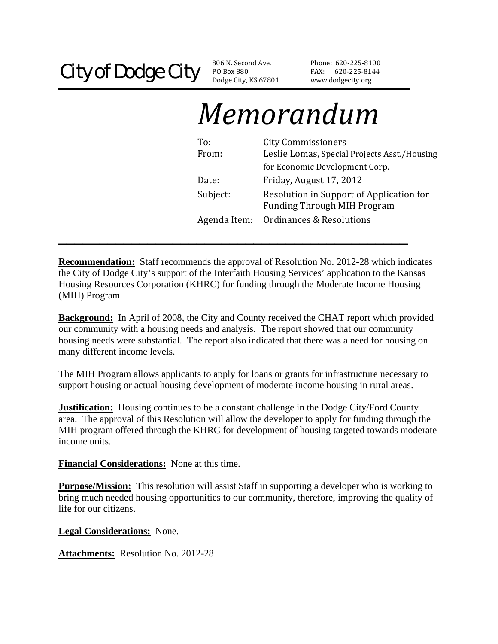PO Box 880 Dodge City, KS 67801

Phone: 620‐225‐81 00 FAX: 620-225-8144 www.dodgecity.org

# *Memorandum*

| To:          | <b>City Commissioners</b>                    |
|--------------|----------------------------------------------|
| From:        | Leslie Lomas, Special Projects Asst./Housing |
|              | for Economic Development Corp.               |
| Date:        | Friday, August 17, 2012                      |
| Subject:     | Resolution in Support of Application for     |
|              | <b>Funding Through MIH Program</b>           |
| Agenda Item: | Ordinances & Resolutions                     |

**Recommendation:** Staff recommends the approval of Resolution No. 2012-28 which indicates the City of Dodge City's support of the Interfaith Housing Services' application to the Kansas Housing Resources Corporation (KHRC) for funding through the Moderate Income Housing (MIH) Program.

**\_\_\_\_\_\_\_\_\_\_\_\_\_\_\_\_\_\_\_\_\_\_\_\_\_\_\_\_\_\_\_\_\_\_\_\_\_\_\_\_\_\_\_** 

**Background:** In April of 2008, the City and County received the CHAT report which provided our community with a housing needs and analysis. The report showed that our community housing needs were substantial. The report also indicated that there was a need for housing on many different income levels.

The MIH Program allows applicants to apply for loans or grants for infrastructure necessary to support housing or actual housing development of moderate income housing in rural areas.

**Justification:** Housing continues to be a constant challenge in the Dodge City/Ford County area. The approval of this Resolution will allow the developer to apply for funding through the MIH program offered through the KHRC for development of housing targeted towards moderate income units.

**Financial Considerations:** None at this time.

**Purpose/Mission:** This resolution will assist Staff in supporting a developer who is working to bring much needed housing opportunities to our community, therefore, improving the quality of life for our citizens.

**Legal Considerations:** None.

**Attachments:** Resolution No. 2012-28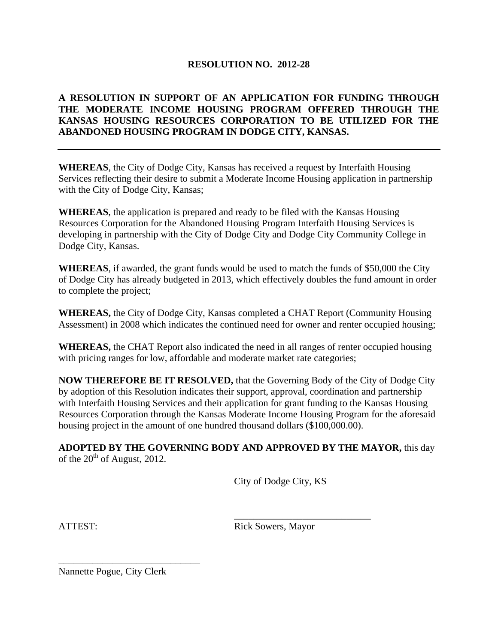#### **RESOLUTION NO. 2012-28**

#### **A RESOLUTION IN SUPPORT OF AN APPLICATION FOR FUNDING THROUGH THE MODERATE INCOME HOUSING PROGRAM OFFERED THROUGH THE KANSAS HOUSING RESOURCES CORPORATION TO BE UTILIZED FOR THE ABANDONED HOUSING PROGRAM IN DODGE CITY, KANSAS.**

**WHEREAS**, the City of Dodge City, Kansas has received a request by Interfaith Housing Services reflecting their desire to submit a Moderate Income Housing application in partnership with the City of Dodge City, Kansas;

**WHEREAS**, the application is prepared and ready to be filed with the Kansas Housing Resources Corporation for the Abandoned Housing Program Interfaith Housing Services is developing in partnership with the City of Dodge City and Dodge City Community College in Dodge City, Kansas.

**WHEREAS**, if awarded, the grant funds would be used to match the funds of \$50,000 the City of Dodge City has already budgeted in 2013, which effectively doubles the fund amount in order to complete the project;

**WHEREAS,** the City of Dodge City, Kansas completed a CHAT Report (Community Housing Assessment) in 2008 which indicates the continued need for owner and renter occupied housing;

**WHEREAS,** the CHAT Report also indicated the need in all ranges of renter occupied housing with pricing ranges for low, affordable and moderate market rate categories;

**NOW THEREFORE BE IT RESOLVED,** that the Governing Body of the City of Dodge City by adoption of this Resolution indicates their support, approval, coordination and partnership with Interfaith Housing Services and their application for grant funding to the Kansas Housing Resources Corporation through the Kansas Moderate Income Housing Program for the aforesaid housing project in the amount of one hundred thousand dollars (\$100,000.00).

**ADOPTED BY THE GOVERNING BODY AND APPROVED BY THE MAYOR,** this day of the  $20^{th}$  of August, 2012.

 $\overline{\phantom{a}}$  , and the contract of the contract of the contract of the contract of the contract of the contract of the contract of the contract of the contract of the contract of the contract of the contract of the contrac

City of Dodge City, KS

ATTEST: Rick Sowers, Mayor

Nannette Pogue, City Clerk

\_\_\_\_\_\_\_\_\_\_\_\_\_\_\_\_\_\_\_\_\_\_\_\_\_\_\_\_\_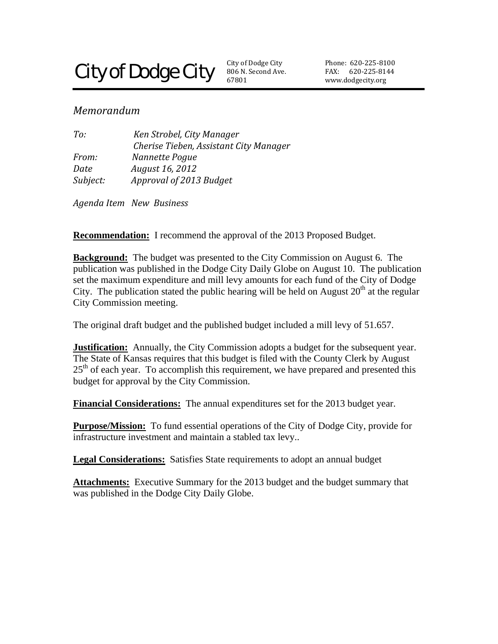## **City of Dodge City**

806 N. Second Ave. 67801 City of Dodge City

Phone: 620‐225‐81 00 FAX: 620-225-8144 www.dodgecity.org

#### *Memorandum*

| To:      | Ken Strobel, City Manager              |
|----------|----------------------------------------|
|          | Cherise Tieben, Assistant City Manager |
| From:    | Nannette Pogue                         |
| Date     | August 16, 2012                        |
| Subject: | Approval of 2013 Budget                |
|          |                                        |

*Agenda Item New Business* 

**Recommendation:** I recommend the approval of the 2013 Proposed Budget.

**Background:** The budget was presented to the City Commission on August 6. The publication was published in the Dodge City Daily Globe on August 10. The publication set the maximum expenditure and mill levy amounts for each fund of the City of Dodge City. The publication stated the public hearing will be held on August  $20<sup>th</sup>$  at the regular City Commission meeting.

The original draft budget and the published budget included a mill levy of 51.657.

**Justification:** Annually, the City Commission adopts a budget for the subsequent year. The State of Kansas requires that this budget is filed with the County Clerk by August  $25<sup>th</sup>$  of each year. To accomplish this requirement, we have prepared and presented this budget for approval by the City Commission.

**Financial Considerations:** The annual expenditures set for the 2013 budget year.

**Purpose/Mission:** To fund essential operations of the City of Dodge City, provide for infrastructure investment and maintain a stabled tax levy..

**Legal Considerations:** Satisfies State requirements to adopt an annual budget

**Attachments:** Executive Summary for the 2013 budget and the budget summary that was published in the Dodge City Daily Globe.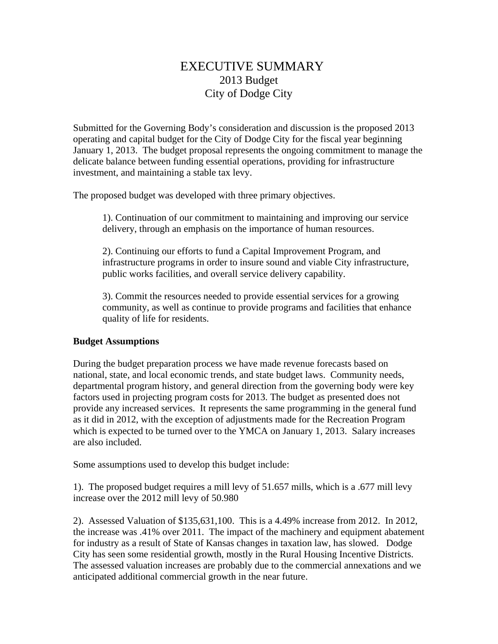## EXECUTIVE SUMMARY 2013 Budget City of Dodge City

Submitted for the Governing Body's consideration and discussion is the proposed 2013 operating and capital budget for the City of Dodge City for the fiscal year beginning January 1, 2013. The budget proposal represents the ongoing commitment to manage the delicate balance between funding essential operations, providing for infrastructure investment, and maintaining a stable tax levy.

The proposed budget was developed with three primary objectives.

1). Continuation of our commitment to maintaining and improving our service delivery, through an emphasis on the importance of human resources.

2). Continuing our efforts to fund a Capital Improvement Program, and infrastructure programs in order to insure sound and viable City infrastructure, public works facilities, and overall service delivery capability.

3). Commit the resources needed to provide essential services for a growing community, as well as continue to provide programs and facilities that enhance quality of life for residents.

#### **Budget Assumptions**

During the budget preparation process we have made revenue forecasts based on national, state, and local economic trends, and state budget laws. Community needs, departmental program history, and general direction from the governing body were key factors used in projecting program costs for 2013. The budget as presented does not provide any increased services. It represents the same programming in the general fund as it did in 2012, with the exception of adjustments made for the Recreation Program which is expected to be turned over to the YMCA on January 1, 2013. Salary increases are also included.

Some assumptions used to develop this budget include:

1). The proposed budget requires a mill levy of 51.657 mills, which is a .677 mill levy increase over the 2012 mill levy of 50.980

2). Assessed Valuation of \$135,631,100. This is a 4.49% increase from 2012. In 2012, the increase was .41% over 2011. The impact of the machinery and equipment abatement for industry as a result of State of Kansas changes in taxation law, has slowed. Dodge City has seen some residential growth, mostly in the Rural Housing Incentive Districts. The assessed valuation increases are probably due to the commercial annexations and we anticipated additional commercial growth in the near future.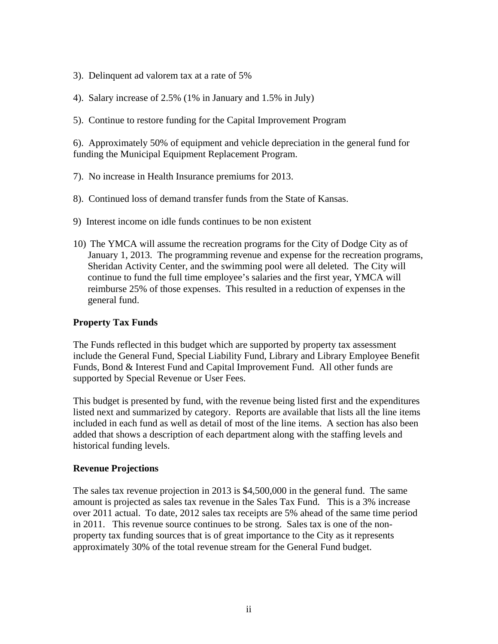- 3). Delinquent ad valorem tax at a rate of 5%
- 4). Salary increase of 2.5% (1% in January and 1.5% in July)
- 5). Continue to restore funding for the Capital Improvement Program

6). Approximately 50% of equipment and vehicle depreciation in the general fund for funding the Municipal Equipment Replacement Program.

- 7). No increase in Health Insurance premiums for 2013.
- 8). Continued loss of demand transfer funds from the State of Kansas.
- 9) Interest income on idle funds continues to be non existent
- 10) The YMCA will assume the recreation programs for the City of Dodge City as of January 1, 2013. The programming revenue and expense for the recreation programs, Sheridan Activity Center, and the swimming pool were all deleted. The City will continue to fund the full time employee's salaries and the first year, YMCA will reimburse 25% of those expenses. This resulted in a reduction of expenses in the general fund.

#### **Property Tax Funds**

The Funds reflected in this budget which are supported by property tax assessment include the General Fund, Special Liability Fund, Library and Library Employee Benefit Funds, Bond & Interest Fund and Capital Improvement Fund. All other funds are supported by Special Revenue or User Fees.

This budget is presented by fund, with the revenue being listed first and the expenditures listed next and summarized by category. Reports are available that lists all the line items included in each fund as well as detail of most of the line items. A section has also been added that shows a description of each department along with the staffing levels and historical funding levels.

#### **Revenue Projections**

The sales tax revenue projection in 2013 is \$4,500,000 in the general fund. The same amount is projected as sales tax revenue in the Sales Tax Fund. This is a 3% increase over 2011 actual. To date, 2012 sales tax receipts are 5% ahead of the same time period in 2011. This revenue source continues to be strong. Sales tax is one of the nonproperty tax funding sources that is of great importance to the City as it represents approximately 30% of the total revenue stream for the General Fund budget.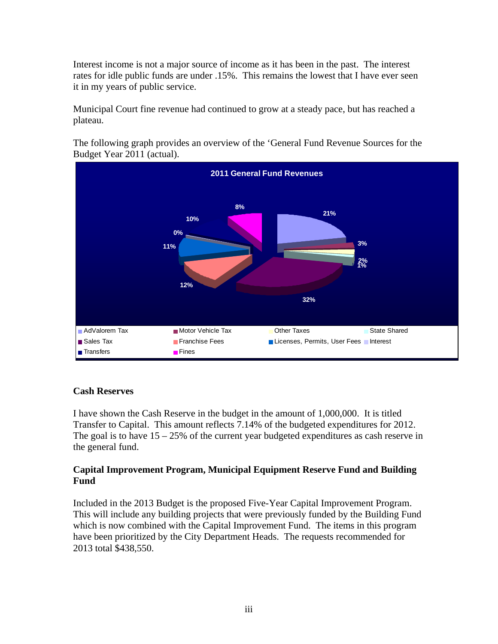Interest income is not a major source of income as it has been in the past. The interest rates for idle public funds are under .15%. This remains the lowest that I have ever seen it in my years of public service.

Municipal Court fine revenue had continued to grow at a steady pace, but has reached a plateau.

The following graph provides an overview of the 'General Fund Revenue Sources for the Budget Year 2011 (actual).



#### **Cash Reserves**

I have shown the Cash Reserve in the budget in the amount of 1,000,000. It is titled Transfer to Capital. This amount reflects 7.14% of the budgeted expenditures for 2012. The goal is to have  $15 - 25\%$  of the current year budgeted expenditures as cash reserve in the general fund.

#### **Capital Improvement Program, Municipal Equipment Reserve Fund and Building Fund**

Included in the 2013 Budget is the proposed Five-Year Capital Improvement Program. This will include any building projects that were previously funded by the Building Fund which is now combined with the Capital Improvement Fund. The items in this program have been prioritized by the City Department Heads. The requests recommended for 2013 total \$438,550.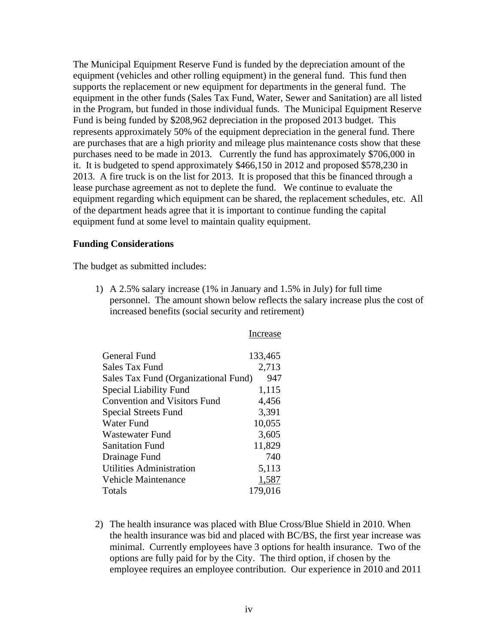The Municipal Equipment Reserve Fund is funded by the depreciation amount of the equipment (vehicles and other rolling equipment) in the general fund. This fund then supports the replacement or new equipment for departments in the general fund. The equipment in the other funds (Sales Tax Fund, Water, Sewer and Sanitation) are all listed in the Program, but funded in those individual funds. The Municipal Equipment Reserve Fund is being funded by \$208,962 depreciation in the proposed 2013 budget. This represents approximately 50% of the equipment depreciation in the general fund. There are purchases that are a high priority and mileage plus maintenance costs show that these purchases need to be made in 2013. Currently the fund has approximately \$706,000 in it. It is budgeted to spend approximately \$466,150 in 2012 and proposed \$578,230 in 2013. A fire truck is on the list for 2013. It is proposed that this be financed through a lease purchase agreement as not to deplete the fund. We continue to evaluate the equipment regarding which equipment can be shared, the replacement schedules, etc. All of the department heads agree that it is important to continue funding the capital equipment fund at some level to maintain quality equipment.

#### **Funding Considerations**

The budget as submitted includes:

1) A 2.5% salary increase (1% in January and 1.5% in July) for full time personnel. The amount shown below reflects the salary increase plus the cost of increased benefits (social security and retirement)

Increase

| General Fund                         | 133,465 |
|--------------------------------------|---------|
| Sales Tax Fund                       | 2,713   |
| Sales Tax Fund (Organizational Fund) | 947     |
| <b>Special Liability Fund</b>        | 1,115   |
| <b>Convention and Visitors Fund</b>  | 4,456   |
| <b>Special Streets Fund</b>          | 3,391   |
| Water Fund                           | 10,055  |
| Wastewater Fund                      | 3,605   |
| Sanitation Fund                      | 11,829  |
| Drainage Fund                        | 740     |
| Utilities Administration             | 5,113   |
| Vehicle Maintenance                  | 1,587   |
| Totals                               | 179,016 |

2) The health insurance was placed with Blue Cross/Blue Shield in 2010. When the health insurance was bid and placed with BC/BS, the first year increase was minimal. Currently employees have 3 options for health insurance. Two of the options are fully paid for by the City. The third option, if chosen by the employee requires an employee contribution. Our experience in 2010 and 2011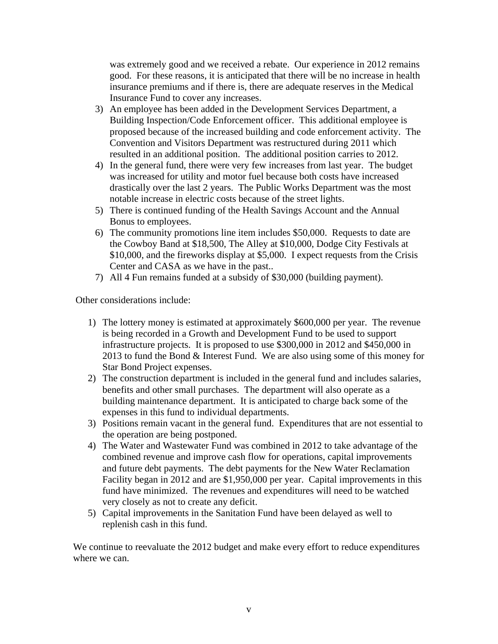was extremely good and we received a rebate. Our experience in 2012 remains good. For these reasons, it is anticipated that there will be no increase in health insurance premiums and if there is, there are adequate reserves in the Medical Insurance Fund to cover any increases.

- 3) An employee has been added in the Development Services Department, a Building Inspection/Code Enforcement officer. This additional employee is proposed because of the increased building and code enforcement activity. The Convention and Visitors Department was restructured during 2011 which resulted in an additional position. The additional position carries to 2012.
- 4) In the general fund, there were very few increases from last year. The budget was increased for utility and motor fuel because both costs have increased drastically over the last 2 years. The Public Works Department was the most notable increase in electric costs because of the street lights.
- 5) There is continued funding of the Health Savings Account and the Annual Bonus to employees.
- 6) The community promotions line item includes \$50,000. Requests to date are the Cowboy Band at \$18,500, The Alley at \$10,000, Dodge City Festivals at \$10,000, and the fireworks display at \$5,000. I expect requests from the Crisis Center and CASA as we have in the past..
- 7) All 4 Fun remains funded at a subsidy of \$30,000 (building payment).

Other considerations include:

- 1) The lottery money is estimated at approximately \$600,000 per year. The revenue is being recorded in a Growth and Development Fund to be used to support infrastructure projects. It is proposed to use \$300,000 in 2012 and \$450,000 in 2013 to fund the Bond & Interest Fund. We are also using some of this money for Star Bond Project expenses.
- 2) The construction department is included in the general fund and includes salaries, benefits and other small purchases. The department will also operate as a building maintenance department. It is anticipated to charge back some of the expenses in this fund to individual departments.
- 3) Positions remain vacant in the general fund. Expenditures that are not essential to the operation are being postponed.
- 4) The Water and Wastewater Fund was combined in 2012 to take advantage of the combined revenue and improve cash flow for operations, capital improvements and future debt payments. The debt payments for the New Water Reclamation Facility began in 2012 and are \$1,950,000 per year. Capital improvements in this fund have minimized. The revenues and expenditures will need to be watched very closely as not to create any deficit.
- 5) Capital improvements in the Sanitation Fund have been delayed as well to replenish cash in this fund.

We continue to reevaluate the 2012 budget and make every effort to reduce expenditures where we can.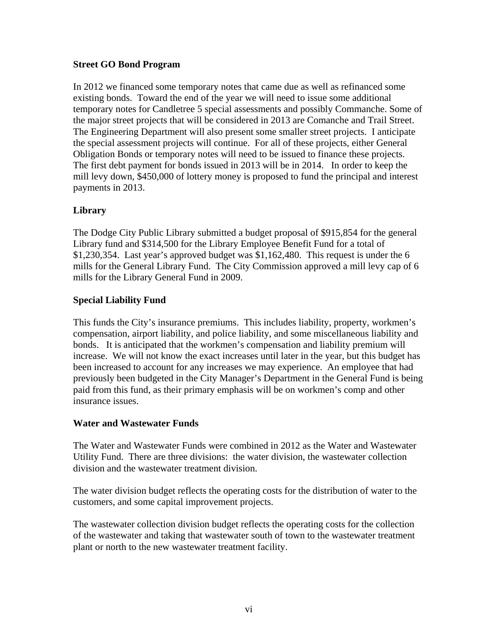#### **Street GO Bond Program**

In 2012 we financed some temporary notes that came due as well as refinanced some existing bonds. Toward the end of the year we will need to issue some additional temporary notes for Candletree 5 special assessments and possibly Commanche. Some of the major street projects that will be considered in 2013 are Comanche and Trail Street. The Engineering Department will also present some smaller street projects. I anticipate the special assessment projects will continue. For all of these projects, either General Obligation Bonds or temporary notes will need to be issued to finance these projects. The first debt payment for bonds issued in 2013 will be in 2014. In order to keep the mill levy down, \$450,000 of lottery money is proposed to fund the principal and interest payments in 2013.

#### **Library**

The Dodge City Public Library submitted a budget proposal of \$915,854 for the general Library fund and \$314,500 for the Library Employee Benefit Fund for a total of \$1,230,354. Last year's approved budget was \$1,162,480. This request is under the 6 mills for the General Library Fund. The City Commission approved a mill levy cap of 6 mills for the Library General Fund in 2009.

#### **Special Liability Fund**

This funds the City's insurance premiums. This includes liability, property, workmen's compensation, airport liability, and police liability, and some miscellaneous liability and bonds. It is anticipated that the workmen's compensation and liability premium will increase. We will not know the exact increases until later in the year, but this budget has been increased to account for any increases we may experience. An employee that had previously been budgeted in the City Manager's Department in the General Fund is being paid from this fund, as their primary emphasis will be on workmen's comp and other insurance issues.

#### **Water and Wastewater Funds**

The Water and Wastewater Funds were combined in 2012 as the Water and Wastewater Utility Fund. There are three divisions: the water division, the wastewater collection division and the wastewater treatment division.

The water division budget reflects the operating costs for the distribution of water to the customers, and some capital improvement projects.

The wastewater collection division budget reflects the operating costs for the collection of the wastewater and taking that wastewater south of town to the wastewater treatment plant or north to the new wastewater treatment facility.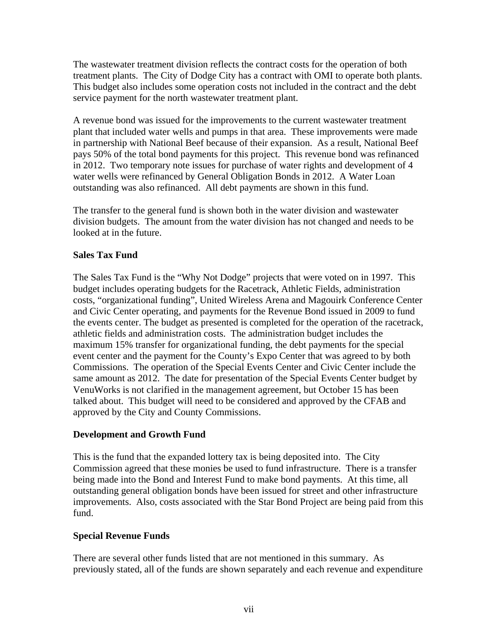The wastewater treatment division reflects the contract costs for the operation of both treatment plants. The City of Dodge City has a contract with OMI to operate both plants. This budget also includes some operation costs not included in the contract and the debt service payment for the north wastewater treatment plant.

A revenue bond was issued for the improvements to the current wastewater treatment plant that included water wells and pumps in that area. These improvements were made in partnership with National Beef because of their expansion. As a result, National Beef pays 50% of the total bond payments for this project. This revenue bond was refinanced in 2012. Two temporary note issues for purchase of water rights and development of 4 water wells were refinanced by General Obligation Bonds in 2012. A Water Loan outstanding was also refinanced. All debt payments are shown in this fund.

The transfer to the general fund is shown both in the water division and wastewater division budgets. The amount from the water division has not changed and needs to be looked at in the future.

#### **Sales Tax Fund**

The Sales Tax Fund is the "Why Not Dodge" projects that were voted on in 1997. This budget includes operating budgets for the Racetrack, Athletic Fields, administration costs, "organizational funding", United Wireless Arena and Magouirk Conference Center and Civic Center operating, and payments for the Revenue Bond issued in 2009 to fund the events center. The budget as presented is completed for the operation of the racetrack, athletic fields and administration costs. The administration budget includes the maximum 15% transfer for organizational funding, the debt payments for the special event center and the payment for the County's Expo Center that was agreed to by both Commissions. The operation of the Special Events Center and Civic Center include the same amount as 2012. The date for presentation of the Special Events Center budget by VenuWorks is not clarified in the management agreement, but October 15 has been talked about. This budget will need to be considered and approved by the CFAB and approved by the City and County Commissions.

#### **Development and Growth Fund**

This is the fund that the expanded lottery tax is being deposited into. The City Commission agreed that these monies be used to fund infrastructure. There is a transfer being made into the Bond and Interest Fund to make bond payments. At this time, all outstanding general obligation bonds have been issued for street and other infrastructure improvements. Also, costs associated with the Star Bond Project are being paid from this fund.

#### **Special Revenue Funds**

There are several other funds listed that are not mentioned in this summary. As previously stated, all of the funds are shown separately and each revenue and expenditure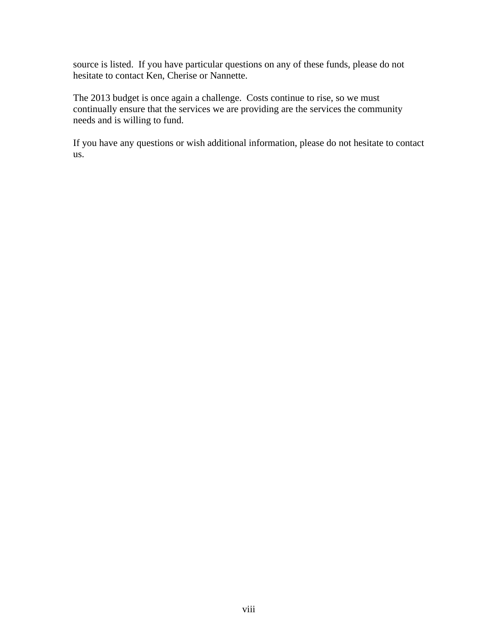source is listed. If you have particular questions on any of these funds, please do not hesitate to contact Ken, Cherise or Nannette.

The 2013 budget is once again a challenge. Costs continue to rise, so we must continually ensure that the services we are providing are the services the community needs and is willing to fund.

If you have any questions or wish additional information, please do not hesitate to contact us.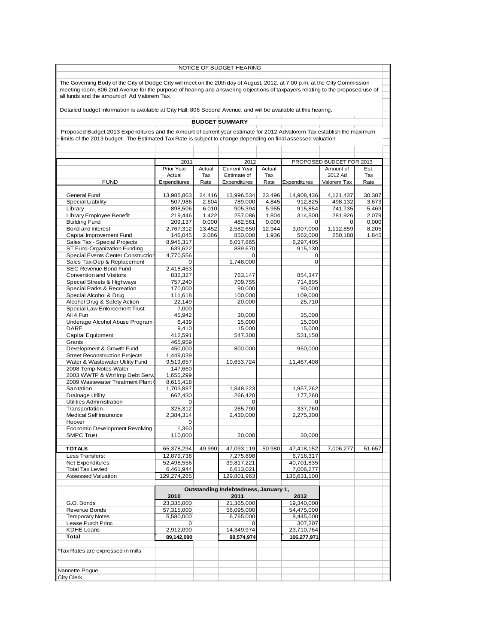|                                                                                                                             |                                                                                                                               |                          |                | NOTICE OF BUDGET HEARING    |                |                      |                           |                |  |  |  |
|-----------------------------------------------------------------------------------------------------------------------------|-------------------------------------------------------------------------------------------------------------------------------|--------------------------|----------------|-----------------------------|----------------|----------------------|---------------------------|----------------|--|--|--|
| The Governing Body of the City of Dodge City will meet on the 20th day of August, 2012, at 7:00 p.m. at the City Commission |                                                                                                                               |                          |                |                             |                |                      |                           |                |  |  |  |
|                                                                                                                             | meeting room, 806 2nd Avenue for the purpose of hearing and answering objections of taxpayers relating to the proposed use of |                          |                |                             |                |                      |                           |                |  |  |  |
|                                                                                                                             | all funds and the amount of Ad Valorem Tax.                                                                                   |                          |                |                             |                |                      |                           |                |  |  |  |
|                                                                                                                             | Detailed budget information is available at City Hall, 806 Second Avenue, and will be available at this hearing.              |                          |                |                             |                |                      |                           |                |  |  |  |
|                                                                                                                             |                                                                                                                               |                          |                |                             |                |                      |                           |                |  |  |  |
|                                                                                                                             |                                                                                                                               |                          |                | <b>BUDGET SUMMARY</b>       |                |                      |                           |                |  |  |  |
|                                                                                                                             | Proposed Budget 2013 Expenditures and the Amount of current year estimate for 2012 Advalorem Tax establish the maximum        |                          |                |                             |                |                      |                           |                |  |  |  |
|                                                                                                                             | limits of the 2013 budget. The Estimated Tax Rate is subject to change depending on final assessed valuation.                 |                          |                |                             |                |                      |                           |                |  |  |  |
|                                                                                                                             |                                                                                                                               |                          |                |                             |                |                      |                           |                |  |  |  |
|                                                                                                                             |                                                                                                                               |                          |                |                             |                |                      |                           |                |  |  |  |
|                                                                                                                             |                                                                                                                               | 2011                     |                | 2012                        |                |                      | PROPOSED BUDGET FOR 2013  |                |  |  |  |
|                                                                                                                             |                                                                                                                               | Prior Year               | Actual         | <b>Current Year</b>         | Actual         |                      | Amount of                 | Est.           |  |  |  |
|                                                                                                                             | <b>FUND</b>                                                                                                                   | Actual<br>Expenditures   | Tax<br>Rate    | Estimate of<br>Expenditures | Tax<br>Rate    | Expenditures         | 2012 Ad<br>Valorem Tax    | Tax<br>Rate    |  |  |  |
|                                                                                                                             |                                                                                                                               |                          |                |                             |                |                      |                           |                |  |  |  |
|                                                                                                                             | General Fund                                                                                                                  | 13,985,863               | 24.416         | 13,996,534                  | 23.496         | 14,908,436           | 4,121,437                 | 30.387         |  |  |  |
|                                                                                                                             | <b>Special Liability</b>                                                                                                      | 507,986                  | 2.604          | 789,000                     | 4.845          | 912,825              | 498,132                   | 3.673          |  |  |  |
|                                                                                                                             | Library                                                                                                                       | 898,506                  | 6.010          | 905,394                     | 5.955          | 915,854              | 741,735                   | 5.469          |  |  |  |
|                                                                                                                             | Library Employee Benefit<br><b>Building Fund</b>                                                                              | 219,446<br>209,137       | 1.422<br>0.000 | 257,086<br>482,561          | 1.804<br>0.000 | 314,500<br>0         | 281,926<br>$\overline{0}$ | 2.079<br>0.000 |  |  |  |
|                                                                                                                             | Bond and Interest                                                                                                             | 2,767,312                | 13.452         | 2,582,650                   | 12.944         | 3,007,000            | 1,112,859                 | 8.205          |  |  |  |
|                                                                                                                             | Capital Improvement Fund                                                                                                      | 146,045                  | 2.086          | 850,000                     | 1.936          | 562,000              | 250,188                   | 1.845          |  |  |  |
|                                                                                                                             | Sales Tax - Special Projects                                                                                                  | 8,945,317                |                | 6,017,865                   |                | 6,297,405            |                           |                |  |  |  |
|                                                                                                                             | ST Fund-Organization Funding                                                                                                  | 639,622                  |                | 889,670                     |                | 915,130              |                           |                |  |  |  |
|                                                                                                                             | <b>Special Events Center Construction</b>                                                                                     | 4,770,556                |                | 0                           |                | $\mathbf 0$          |                           |                |  |  |  |
|                                                                                                                             | Sales Tax-Dep & Replacement<br>SEC Revenue Bond Fund                                                                          | 0<br>2,418,453           |                | 1,748,000                   |                | $\mathbf 0$          |                           |                |  |  |  |
|                                                                                                                             | <b>Convention and Visitors</b>                                                                                                | 832,327                  |                | 763,147                     |                | 854,347              |                           |                |  |  |  |
|                                                                                                                             | Special Streets & Highways                                                                                                    | 757,240                  |                | 709,755                     |                | 714,805              |                           |                |  |  |  |
|                                                                                                                             | Special Parks & Recreation                                                                                                    | 170,000                  |                | 90.000                      |                | 90,000               |                           |                |  |  |  |
|                                                                                                                             | Special Alcohol & Drug                                                                                                        | 111,618                  |                | 100,000                     |                | 109,000              |                           |                |  |  |  |
|                                                                                                                             | Alcohol Drug & Safety Action<br>Special Law Enforcement Trust                                                                 | 22,149<br>7,000          |                | 20,000                      |                | 25,710               |                           |                |  |  |  |
|                                                                                                                             | All 4 Fun                                                                                                                     | 45,942                   |                | 30,000                      |                | 35,000               |                           |                |  |  |  |
|                                                                                                                             | Underage Alcohol Abuse Program                                                                                                | 6,439                    |                | 15,000                      |                | 15,000               |                           |                |  |  |  |
|                                                                                                                             | DARE                                                                                                                          | 9,410                    |                | 15,000                      |                | 15,000               |                           |                |  |  |  |
|                                                                                                                             | Capital Equipment                                                                                                             | 412,591                  |                | 547,300                     |                | 531,150              |                           |                |  |  |  |
|                                                                                                                             | Grants<br>Development & Growth Fund                                                                                           | 465,959<br>450,000       |                |                             |                |                      |                           |                |  |  |  |
|                                                                                                                             | <b>Street Reconstruction Projects</b>                                                                                         | 1,449,039                |                | 800,000                     |                | 950,000              |                           |                |  |  |  |
|                                                                                                                             | Water & Wastewater Utility Fund                                                                                               | 9,519,657                |                | 10,653,724                  |                | 11,467,408           |                           |                |  |  |  |
|                                                                                                                             | 2008 Temp Notes-Water                                                                                                         | 147,660                  |                |                             |                |                      |                           |                |  |  |  |
|                                                                                                                             | 2003 WWTP & Wtrl Imp Debt Serv.                                                                                               | 1,655,299                |                |                             |                |                      |                           |                |  |  |  |
|                                                                                                                             | 2009 Wastewater Treatment Plant (<br>Sanitation                                                                               | 8,615,418<br>1.703.887   |                |                             |                |                      |                           |                |  |  |  |
|                                                                                                                             | Drainage Utility                                                                                                              | 667,430                  |                | 1,848,223<br>266,420        |                | 1,957,262<br>177,260 |                           |                |  |  |  |
|                                                                                                                             | <b>Utilities Administration</b>                                                                                               | 0                        |                | 0                           |                | 0                    |                           |                |  |  |  |
|                                                                                                                             | Transportation                                                                                                                | 325,312                  |                | 265,790                     |                | 337,760              |                           |                |  |  |  |
|                                                                                                                             | <b>Medical Self Insurance</b>                                                                                                 | 2,384,314                |                | 2,430,000                   |                | 2,275,300            |                           |                |  |  |  |
|                                                                                                                             | Hoover                                                                                                                        | 0                        |                |                             |                |                      |                           |                |  |  |  |
|                                                                                                                             | Economic Development Revolving<br><b>SMPC Trust</b>                                                                           | 1,360<br>110,000         |                | 20,000                      |                | 30,000               |                           |                |  |  |  |
|                                                                                                                             |                                                                                                                               |                          |                |                             |                |                      |                           |                |  |  |  |
|                                                                                                                             | <b>TOTALS</b>                                                                                                                 | 65,378,294               | 49.990         | 47,093,119                  | 50.980         | 47,418,152           | 7,006,277                 | 51.657         |  |  |  |
|                                                                                                                             | Less Transfers:                                                                                                               | 12,879,738               |                | 7,275,898                   |                | 6,716,317            |                           |                |  |  |  |
|                                                                                                                             | Net Expenditures                                                                                                              | 52,498,556               |                | 39,817,221                  |                | 40,701,835           |                           |                |  |  |  |
|                                                                                                                             | <b>Total Tax Levied</b>                                                                                                       | 6,461,944                |                | 6,613,021                   |                | 7,006,277            |                           |                |  |  |  |
|                                                                                                                             | Assessed Valuation                                                                                                            | 129,274,265              |                | 129,801,963                 |                | 135,631,100          |                           |                |  |  |  |
|                                                                                                                             | Outstanding Indebtedness, January 1,                                                                                          |                          |                |                             |                |                      |                           |                |  |  |  |
|                                                                                                                             |                                                                                                                               | 2010                     |                | 2011                        |                | 2012                 |                           |                |  |  |  |
|                                                                                                                             | G.O. Bonds                                                                                                                    | 23,335,000               |                | 21,365,000                  |                | 19,340,000           |                           |                |  |  |  |
|                                                                                                                             | Revenue Bonds                                                                                                                 | 57,315,000               |                | 56,095,000                  |                | 54,475,000           |                           |                |  |  |  |
|                                                                                                                             | <b>Temporary Notes</b><br>Lease Purch Princ                                                                                   | 5,580,000<br>$\mathbf 0$ |                | 6,765,000<br>$\mathbf 0$    |                | 8,445,000<br>307,207 |                           |                |  |  |  |
|                                                                                                                             | <b>KDHE Loans</b>                                                                                                             | 2,912,090                |                | 14,349,974                  |                | 23,710,764           |                           |                |  |  |  |
|                                                                                                                             | Total                                                                                                                         | 89,142,090               |                | 98,574,974                  |                | 106,277,971          |                           |                |  |  |  |
|                                                                                                                             |                                                                                                                               |                          |                |                             |                |                      |                           |                |  |  |  |
|                                                                                                                             | *Tax Rates are expressed in mills.                                                                                            |                          |                |                             |                |                      |                           |                |  |  |  |
|                                                                                                                             |                                                                                                                               |                          |                |                             |                |                      |                           |                |  |  |  |
|                                                                                                                             | Nannette Pogue                                                                                                                |                          |                |                             |                |                      |                           |                |  |  |  |
|                                                                                                                             | <b>City Clerk</b>                                                                                                             |                          |                |                             |                |                      |                           |                |  |  |  |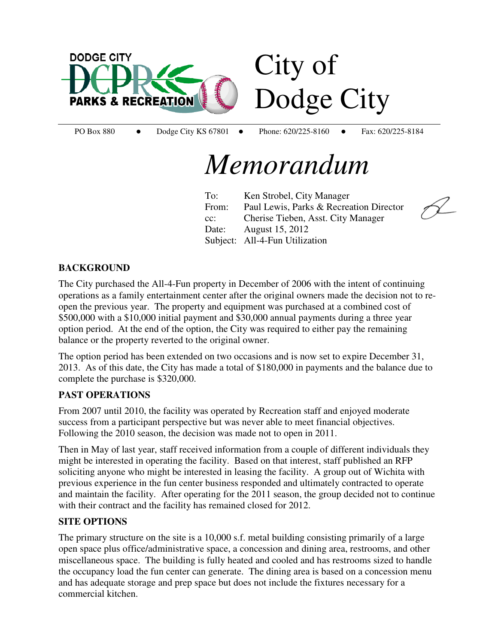

PO Box 880 • Dodge City KS 67801 • Phone: 620/225-8160 • Fax: 620/225-8184

## *Memorandum*

To: Ken Strobel, City Manager From: Paul Lewis, Parks & Recreation Director cc: Cherise Tieben, Asst. City Manager Date: August 15, 2012 Subject: All-4-Fun Utilization



#### **BACKGROUND**

The City purchased the All-4-Fun property in December of 2006 with the intent of continuing operations as a family entertainment center after the original owners made the decision not to reopen the previous year. The property and equipment was purchased at a combined cost of \$500,000 with a \$10,000 initial payment and \$30,000 annual payments during a three year option period. At the end of the option, the City was required to either pay the remaining balance or the property reverted to the original owner.

The option period has been extended on two occasions and is now set to expire December 31, 2013. As of this date, the City has made a total of \$180,000 in payments and the balance due to complete the purchase is \$320,000.

#### **PAST OPERATIONS**

From 2007 until 2010, the facility was operated by Recreation staff and enjoyed moderate success from a participant perspective but was never able to meet financial objectives. Following the 2010 season, the decision was made not to open in 2011.

Then in May of last year, staff received information from a couple of different individuals they might be interested in operating the facility. Based on that interest, staff published an RFP soliciting anyone who might be interested in leasing the facility. A group out of Wichita with previous experience in the fun center business responded and ultimately contracted to operate and maintain the facility. After operating for the 2011 season, the group decided not to continue with their contract and the facility has remained closed for 2012.

#### **SITE OPTIONS**

The primary structure on the site is a 10,000 s.f. metal building consisting primarily of a large open space plus office/administrative space, a concession and dining area, restrooms, and other miscellaneous space. The building is fully heated and cooled and has restrooms sized to handle the occupancy load the fun center can generate. The dining area is based on a concession menu and has adequate storage and prep space but does not include the fixtures necessary for a commercial kitchen.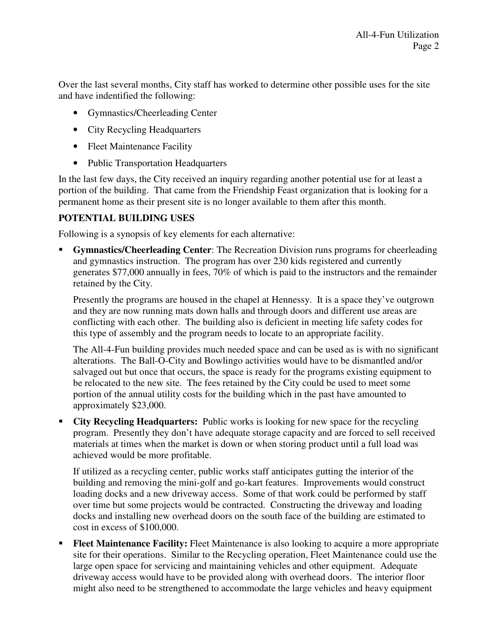Over the last several months, City staff has worked to determine other possible uses for the site and have indentified the following:

- Gymnastics/Cheerleading Center
- City Recycling Headquarters
- Fleet Maintenance Facility
- Public Transportation Headquarters

In the last few days, the City received an inquiry regarding another potential use for at least a portion of the building. That came from the Friendship Feast organization that is looking for a permanent home as their present site is no longer available to them after this month.

### **POTENTIAL BUILDING USES**

Following is a synopsis of key elements for each alternative:

 **Gymnastics/Cheerleading Center**: The Recreation Division runs programs for cheerleading and gymnastics instruction. The program has over 230 kids registered and currently generates \$77,000 annually in fees, 70% of which is paid to the instructors and the remainder retained by the City.

Presently the programs are housed in the chapel at Hennessy. It is a space they've outgrown and they are now running mats down halls and through doors and different use areas are conflicting with each other. The building also is deficient in meeting life safety codes for this type of assembly and the program needs to locate to an appropriate facility.

The All-4-Fun building provides much needed space and can be used as is with no significant alterations. The Ball-O-City and Bowlingo activities would have to be dismantled and/or salvaged out but once that occurs, the space is ready for the programs existing equipment to be relocated to the new site. The fees retained by the City could be used to meet some portion of the annual utility costs for the building which in the past have amounted to approximately \$23,000.

 **City Recycling Headquarters:** Public works is looking for new space for the recycling program. Presently they don't have adequate storage capacity and are forced to sell received materials at times when the market is down or when storing product until a full load was achieved would be more profitable.

If utilized as a recycling center, public works staff anticipates gutting the interior of the building and removing the mini-golf and go-kart features. Improvements would construct loading docks and a new driveway access. Some of that work could be performed by staff over time but some projects would be contracted. Constructing the driveway and loading docks and installing new overhead doors on the south face of the building are estimated to cost in excess of \$100,000.

Fleet Maintenance Facility: Fleet Maintenance is also looking to acquire a more appropriate site for their operations. Similar to the Recycling operation, Fleet Maintenance could use the large open space for servicing and maintaining vehicles and other equipment. Adequate driveway access would have to be provided along with overhead doors. The interior floor might also need to be strengthened to accommodate the large vehicles and heavy equipment